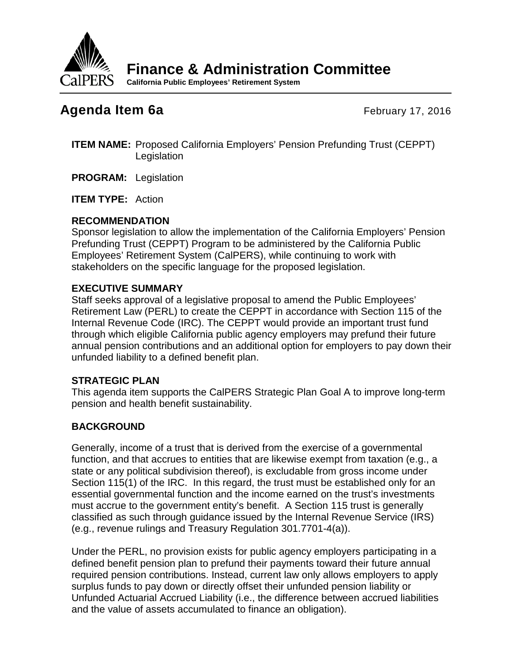

**Finance & Administration Committee**

**California Public Employees' Retirement System**

# **Agenda Item 6a** February 17, 2016

- **ITEM NAME:** Proposed California Employers' Pension Prefunding Trust (CEPPT) **Legislation**
- **PROGRAM:** Legislation

**ITEM TYPE:** Action

# **RECOMMENDATION**

Sponsor legislation to allow the implementation of the California Employers' Pension Prefunding Trust (CEPPT) Program to be administered by the California Public Employees' Retirement System (CalPERS), while continuing to work with stakeholders on the specific language for the proposed legislation.

## **EXECUTIVE SUMMARY**

Staff seeks approval of a legislative proposal to amend the Public Employees' Retirement Law (PERL) to create the CEPPT in accordance with Section 115 of the Internal Revenue Code (IRC). The CEPPT would provide an important trust fund through which eligible California public agency employers may prefund their future annual pension contributions and an additional option for employers to pay down their unfunded liability to a defined benefit plan.

# **STRATEGIC PLAN**

This agenda item supports the CalPERS Strategic Plan Goal A to improve long-term pension and health benefit sustainability.

# **BACKGROUND**

Generally, income of a trust that is derived from the exercise of a governmental function, and that accrues to entities that are likewise exempt from taxation (e.g., a state or any political subdivision thereof), is excludable from gross income under Section 115(1) of the IRC. In this regard, the trust must be established only for an essential governmental function and the income earned on the trust's investments must accrue to the government entity's benefit. A Section 115 trust is generally classified as such through guidance issued by the Internal Revenue Service (IRS) (e.g., revenue rulings and Treasury Regulation 301.7701-4(a)).

Under the PERL, no provision exists for public agency employers participating in a defined benefit pension plan to prefund their payments toward their future annual required pension contributions. Instead, current law only allows employers to apply surplus funds to pay down or directly offset their unfunded pension liability or Unfunded Actuarial Accrued Liability (i.e., the difference between accrued liabilities and the value of assets accumulated to finance an obligation).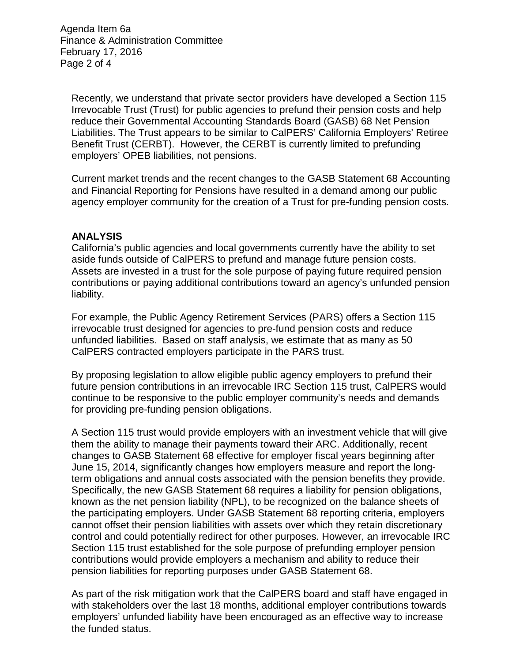Agenda Item 6a Finance & Administration Committee February 17, 2016 Page 2 of 4

Recently, we understand that private sector providers have developed a Section 115 Irrevocable Trust (Trust) for public agencies to prefund their pension costs and help reduce their Governmental Accounting Standards Board (GASB) 68 Net Pension Liabilities. The Trust appears to be similar to CalPERS' California Employers' Retiree Benefit Trust (CERBT). However, the CERBT is currently limited to prefunding employers' OPEB liabilities, not pensions.

Current market trends and the recent changes to the GASB Statement 68 Accounting and Financial Reporting for Pensions have resulted in a demand among our public agency employer community for the creation of a Trust for pre-funding pension costs.

#### **ANALYSIS**

California's public agencies and local governments currently have the ability to set aside funds outside of CalPERS to prefund and manage future pension costs. Assets are invested in a trust for the sole purpose of paying future required pension contributions or paying additional contributions toward an agency's unfunded pension liability.

For example, the Public Agency Retirement Services (PARS) offers a Section 115 irrevocable trust designed for agencies to pre-fund pension costs and reduce unfunded liabilities. Based on staff analysis, we estimate that as many as 50 CalPERS contracted employers participate in the PARS trust.

By proposing legislation to allow eligible public agency employers to prefund their future pension contributions in an irrevocable IRC Section 115 trust, CalPERS would continue to be responsive to the public employer community's needs and demands for providing pre-funding pension obligations.

A Section 115 trust would provide employers with an investment vehicle that will give them the ability to manage their payments toward their ARC. Additionally, recent changes to GASB Statement 68 effective for employer fiscal years beginning after June 15, 2014, significantly changes how employers measure and report the longterm obligations and annual costs associated with the pension benefits they provide. Specifically, the new GASB Statement 68 requires a liability for pension obligations, known as the net pension liability (NPL), to be recognized on the balance sheets of the participating employers. Under GASB Statement 68 reporting criteria, employers cannot offset their pension liabilities with assets over which they retain discretionary control and could potentially redirect for other purposes. However, an irrevocable IRC Section 115 trust established for the sole purpose of prefunding employer pension contributions would provide employers a mechanism and ability to reduce their pension liabilities for reporting purposes under GASB Statement 68.

As part of the risk mitigation work that the CalPERS board and staff have engaged in with stakeholders over the last 18 months, additional employer contributions towards employers' unfunded liability have been encouraged as an effective way to increase the funded status.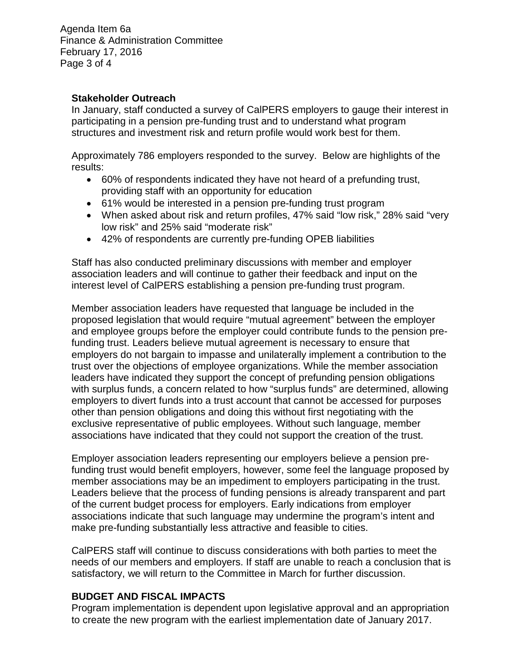Agenda Item 6a Finance & Administration Committee February 17, 2016 Page 3 of 4

### **Stakeholder Outreach**

In January, staff conducted a survey of CalPERS employers to gauge their interest in participating in a pension pre-funding trust and to understand what program structures and investment risk and return profile would work best for them.

Approximately 786 employers responded to the survey. Below are highlights of the results:

- 60% of respondents indicated they have not heard of a prefunding trust, providing staff with an opportunity for education
- 61% would be interested in a pension pre-funding trust program
- When asked about risk and return profiles, 47% said "low risk," 28% said "very low risk" and 25% said "moderate risk"
- 42% of respondents are currently pre-funding OPEB liabilities

Staff has also conducted preliminary discussions with member and employer association leaders and will continue to gather their feedback and input on the interest level of CalPERS establishing a pension pre-funding trust program.

Member association leaders have requested that language be included in the proposed legislation that would require "mutual agreement" between the employer and employee groups before the employer could contribute funds to the pension prefunding trust. Leaders believe mutual agreement is necessary to ensure that employers do not bargain to impasse and unilaterally implement a contribution to the trust over the objections of employee organizations. While the member association leaders have indicated they support the concept of prefunding pension obligations with surplus funds, a concern related to how "surplus funds" are determined, allowing employers to divert funds into a trust account that cannot be accessed for purposes other than pension obligations and doing this without first negotiating with the exclusive representative of public employees. Without such language, member associations have indicated that they could not support the creation of the trust.

Employer association leaders representing our employers believe a pension prefunding trust would benefit employers, however, some feel the language proposed by member associations may be an impediment to employers participating in the trust. Leaders believe that the process of funding pensions is already transparent and part of the current budget process for employers. Early indications from employer associations indicate that such language may undermine the program's intent and make pre-funding substantially less attractive and feasible to cities.

CalPERS staff will continue to discuss considerations with both parties to meet the needs of our members and employers. If staff are unable to reach a conclusion that is satisfactory, we will return to the Committee in March for further discussion.

### **BUDGET AND FISCAL IMPACTS**

Program implementation is dependent upon legislative approval and an appropriation to create the new program with the earliest implementation date of January 2017.